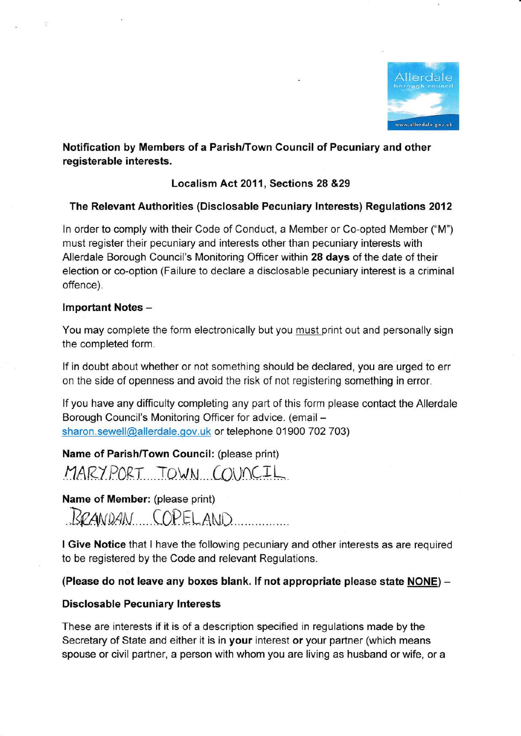

# Notification by Members of a Parish/Town Council of Pecuniary and other registerable interests.

# Localism Act 2011, Sections 28 &29

# The Relevant Authorities (Disclosable Pecuniary lnterests) Regulations 2012

ln order to comply with their Code of Conduct, a Member or Co-opted Member ("M") must register their pecuniary and interests other than pecuniary interests with Allerdale Borough Council's Monitoring Officer within 28 days of the date of their election or co-option (Failure to declare a disclosable pecuniary interest is a criminal offence).

### lmportant Notes -

You may complete the form electronically but you must print out and personally sign the completed form.

If in doubt about whether or not something should be declared, you are urged fo err on the side of openness and avoid the risk of not registering something in error.

lf you have any difficulty completing any part of this form please contact the Allerdale Borough Council's Monitoring Officer for advice. (email sharon.sewell@allerdale.gov.uk or telephone 01900 702 703)

Name of Parish/Town Council: (please print)

MARY PORT TOWN COUNCIL

# Name of Member: (please print)

BRANDAN COPELAND

I Give Notice that I have the following pecuniary and other interests as are required to be registered by the Code and relevant Regulations.

(Please do not leave any boxes blank. !f not appropriate please state NONE) -

# **Disclosable Pecuniary Interests**

These are interests if it is of a description specified in regulations made by the Secretary of State and either it is in your interest or your partner (which means spouse or civil partner, a person with whom you are living as husband or wife, or a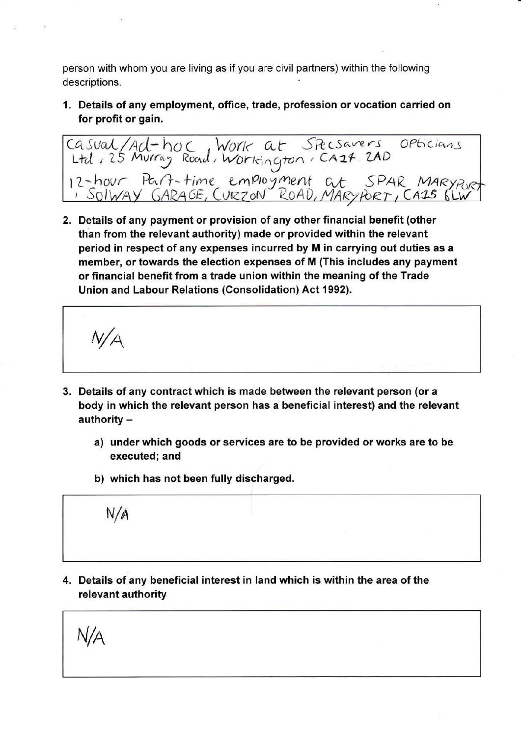person with whom you are living as if you are civil partners) within the following descriptions.

1. Details of any employment, office, trade, profession or vocation carried on for profit or gain.

Casual/Ad-hoc Work at SPecsavers Opticians<br>Ltd, 25 Murray Road, Workington, CA24 2AD<br>12-hour Part-time employment at SPAR MARYPOR,<br>1 SolWAY GARAGE, CURZON ROAD, MARYPORT, CA25 LLW

2. Details of any payment or provision of any other financial benefit (other than from the relevant authority) made or provided within the relevant period in respect of any expenses incurred by M in carrying out duties as a member, or towards the election expenses of M (This includes any payment or financial benefit from a trade union within the meaning of the Trade Union and Labour Relations (Consolidation) Act 1992).

 $N/A$ 

- 3. Details of any contract which is made between the relevant person (or a body in which the relevant person has a beneficial interest) and the relevant  $authority$ 
	- a) under which goods or services are to be provided or works are to be executed; and
	- b) which has not been fully discharged.



4. Details of any beneficial interest in land which is within the area of the relevant authority

N/A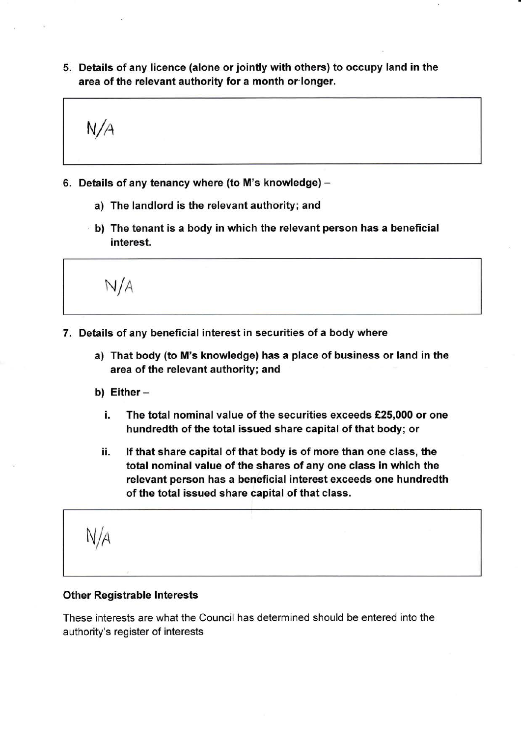5. Details of any licence (alone or jointly with others) to occupy Iand in the area of the relevant authority for a month or'longer.

$$
\mathsf{N}/\mathsf{A}
$$

- 6. Details of any tenancy where (to M's knowledge)  $$ 
	- a) The landlord is the relevant authority; and
	- b) The tenant is a body in which the relevant person has a beneficial interest.

N/A

- 7. Details of any beneficial interest in securities of a body where
	- a) That body (to M's knowledge) has a place of business or land in the area of the relevant authority; and
	- b) Either  $$ 
		- i. The total nominal value of the securities exceeds  $£25,000$  or one hundredth of the total issued share capital of that body; or
		- ii. lf that share capital of that body is of more than one class, the total nominal value of the shares of any one class in which the relevant person has a beneficial interest exceeds one hundredth of the total issued share capital of that class.

 $N/A$ 

#### Other Registrable lnterests

These interests are what the Council has determined should be entered into the authority's register of interests